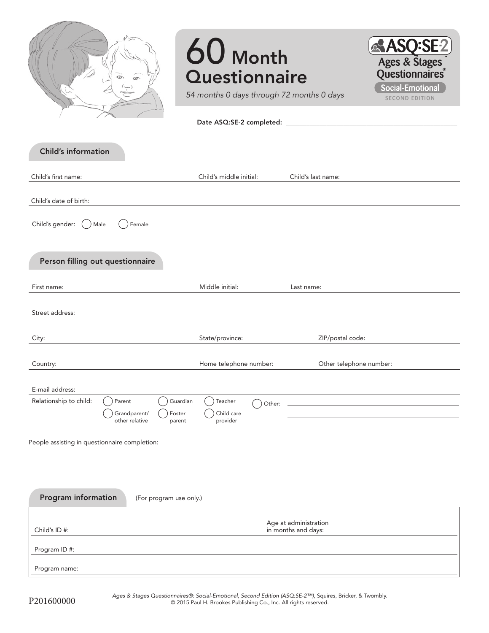

# 60 Month **Questionnaire**



*54 months 0 days through 72 months 0 days*

Date ASQ:SE-2 completed:

| Child's middle initial: | Child's last name:      |
|-------------------------|-------------------------|
|                         |                         |
|                         |                         |
|                         |                         |
|                         |                         |
| Middle initial:         | Last name:              |
|                         |                         |
| State/province:         | ZIP/postal code:        |
| Home telephone number:  | Other telephone number: |
|                         |                         |
| Teacher<br>Other:       |                         |
| provider                |                         |
|                         |                         |
|                         |                         |
|                         |                         |
| (For program use only.) |                         |
|                         | Age at administration   |
|                         | Child care              |

Program ID #:

Child's ID #:

Program name:

in months and days: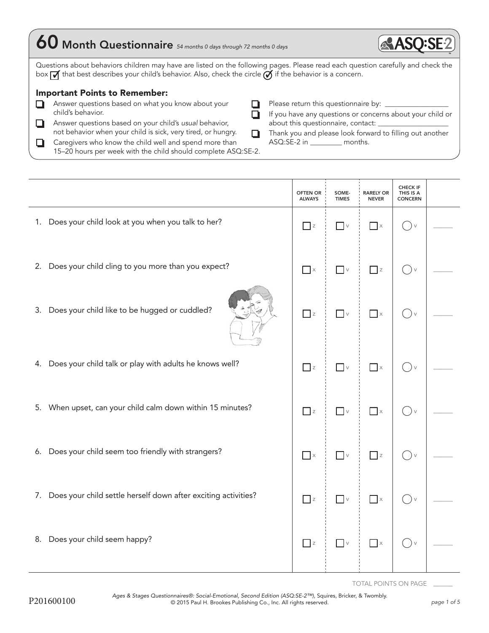| 60 Month Questionnaire 54 months 0 days through 72 months 0 days                                                                                                                                                                                                                                                             | <b>RAS</b>                                                                                                                                                                                                                                                     |
|------------------------------------------------------------------------------------------------------------------------------------------------------------------------------------------------------------------------------------------------------------------------------------------------------------------------------|----------------------------------------------------------------------------------------------------------------------------------------------------------------------------------------------------------------------------------------------------------------|
| Questions about behaviors children may have are listed on the following pages. Please read each question carefully and check the<br>$box$ That best describes your child's behavior. Also, check the circle $\overrightarrow{O}$ if the behavior is a concern.<br><b>Important Points to Remember:</b>                       |                                                                                                                                                                                                                                                                |
| Answer questions based on what you know about your<br>child's behavior.<br>Answer questions based on your child's usual behavior,<br>not behavior when your child is sick, very tired, or hungry.<br>Caregivers who know the child well and spend more than<br>15-20 hours per week with the child should complete ASQ:SE-2. | Please return this questionnaire by: __________<br>If you have any questions or concerns about your child or<br>about this questionnaire, contact: _____________<br>Thank you and please look forward to filling out another<br>ASQ:SE-2 in __________ months. |

|                                |                                                                   | <b>OFTEN OR</b><br><b>ALWAYS</b>  | SOME-<br><b>TIMES</b>           | <b>RARELY OR</b><br><b>NEVER</b> | CHECK IF<br>THIS IS A<br><b>CONCERN</b> |  |
|--------------------------------|-------------------------------------------------------------------|-----------------------------------|---------------------------------|----------------------------------|-----------------------------------------|--|
|                                | 1. Does your child look at you when you talk to her?              | $\Box$ z                          | $\overline{\phantom{a}}$ v      | $\Box$ x                         | $\rightarrow$ $\vee$                    |  |
|                                | 2. Does your child cling to you more than you expect?             | $\Box$ x                          | $\hfill\ensuremath{\mathsf{V}}$ | $\Box$ z                         | $()_{\vee}$                             |  |
|                                | 3. Does your child like to be hugged or cuddled?                  | $\Box$ z                          | $\hfill\ensuremath{\mathsf{V}}$ | $\Box$ $\times$                  | $()$ v                                  |  |
|                                | 4. Does your child talk or play with adults he knows well?        | $\overline{\phantom{a}}$ z        | $\overline{\phantom{a}}$ v      | $\overline{\phantom{a}}$ x       | $()$ v                                  |  |
|                                | 5. When upset, can your child calm down within 15 minutes?        | $\Box$ z                          | $\hfill\ensuremath{\mathsf{V}}$ | $\Box$ x                         | $(\ )_{\vee}$                           |  |
|                                | 6. Does your child seem too friendly with strangers?              | $\overline{\phantom{a}}$ $\times$ | $\hfill\ensuremath{\mathsf{V}}$ | $\overline{\phantom{a}}$ z       | $()$ v                                  |  |
|                                | 7. Does your child settle herself down after exciting activities? | $\Box$ z                          | $\hfill\ensuremath{\mathsf{V}}$ | $\blacksquare$ $\times$          | $()$ v                                  |  |
| 8. Does your child seem happy? |                                                                   | $\Box$ z                          | $\hfill\ensuremath{\mathsf{V}}$ | $\Box$ $\times$                  | ( ) v                                   |  |
|                                |                                                                   |                                   |                                 |                                  |                                         |  |

TOTAL POINTS ON PAGE \_\_\_\_\_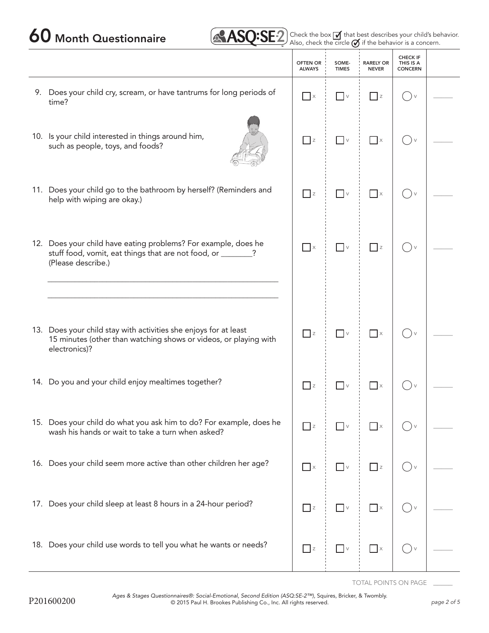### 60 Month Questionnaire **2 Check the box of that best describes your child's behavior.**

|  |  | $\overline{\text{ASQ:SE2}}$ Check the box $\overline{\mathcal{A}}$ |  |
|--|--|--------------------------------------------------------------------|--|
|  |  |                                                                    |  |

ircle  $\bigcirc$  if the behavior is a concern.

|                                                                                                                                                       | <b>OFTEN OR</b><br><b>ALWAYS</b> | SOME-<br><b>TIMES</b>           | <b>RARELY OR</b><br><b>NEVER</b> | <b>CHECK IF</b><br>THIS IS A<br><b>CONCERN</b> |  |
|-------------------------------------------------------------------------------------------------------------------------------------------------------|----------------------------------|---------------------------------|----------------------------------|------------------------------------------------|--|
| 9. Does your child cry, scream, or have tantrums for long periods of<br>time?                                                                         | $\Box$ x                         | $\overline{\phantom{a}}$        | $ $ $ $ $ $                      |                                                |  |
| 10. Is your child interested in things around him,<br>such as people, toys, and foods?                                                                | $\Box$ z                         | $\overline{\phantom{a}}$ v      | $\Box$ x                         |                                                |  |
| 11. Does your child go to the bathroom by herself? (Reminders and<br>help with wiping are okay.)                                                      | $\overline{z}$                   | $\Box$ v                        | $\Box$ x                         |                                                |  |
| 12. Does your child have eating problems? For example, does he<br>stuff food, vomit, eat things that are not food, or _______?<br>(Please describe.)  | $\overline{\phantom{a}}$ x       | $\vert \ \ \vert \vee$          | $ $ $ $ z                        |                                                |  |
|                                                                                                                                                       |                                  |                                 |                                  |                                                |  |
| 13. Does your child stay with activities she enjoys for at least<br>15 minutes (other than watching shows or videos, or playing with<br>electronics)? | $\Box$ z                         | $\vee$                          | $\Box$ x                         |                                                |  |
| 14. Do you and your child enjoy mealtimes together?                                                                                                   | $\Box$ z                         | $\hfill\ensuremath{\mathsf{V}}$ | $\Box$ x                         |                                                |  |
| 15. Does your child do what you ask him to do? For example, does he<br>wash his hands or wait to take a turn when asked?                              | $\Box$ z                         |                                 | $\vert \cdot \vert$ x            |                                                |  |
| 16. Does your child seem more active than other children her age?                                                                                     | $\Box$ x                         | $\blacksquare$ $\lor$           | $\Box$ z                         |                                                |  |
| 17. Does your child sleep at least 8 hours in a 24-hour period?                                                                                       | $\Box$ z                         | $\hfill\ensuremath{\mathsf{V}}$ | $\Box$ x                         | $() \vee$                                      |  |
| 18. Does your child use words to tell you what he wants or needs?                                                                                     | $\Box$ z                         | $\hfill\ensuremath{\mathsf{V}}$ | $\Box$ x                         | $() \vee$                                      |  |

TOTAL POINTS ON PAGE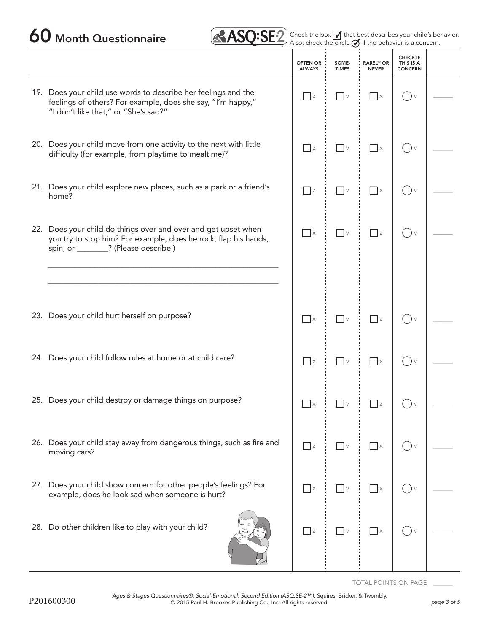## 60 Month Questionnaire 2  $\text{ASQ:SE2}$  Check the box of that began that began  $\text{SSE2}$  also, check the circle  $\varnothing$

|  | Check the box $\overline{M}$ that best describes your child's behavior.<br>Also, check the circle $\sigma$ if the behavior is a concern. |  |
|--|------------------------------------------------------------------------------------------------------------------------------------------|--|
|  |                                                                                                                                          |  |

|                                                                                                                                                                            | <b>OFTEN OR</b><br><b>ALWAYS</b> | SOME-<br><b>TIMES</b>           | <b>RARELY OR</b><br><b>NEVER</b> | <b>CHECK IF</b><br>THIS IS A<br><b>CONCERN</b> |  |
|----------------------------------------------------------------------------------------------------------------------------------------------------------------------------|----------------------------------|---------------------------------|----------------------------------|------------------------------------------------|--|
| 19. Does your child use words to describe her feelings and the<br>feelings of others? For example, does she say, "I'm happy,"<br>"I don't like that," or "She's sad?"      | $\Box$ z                         | $\overline{\phantom{a}}$ v      | $\vert x \vert$                  | $\qquad \qquad \Box$<br>$\vee$                 |  |
| 20. Does your child move from one activity to the next with little<br>difficulty (for example, from playtime to mealtime)?                                                 | $\Box$ z                         | $\vee$                          | $\Box$                           | $\left( \quad \right)$<br>$\vee$               |  |
| 21. Does your child explore new places, such as a park or a friend's<br>home?                                                                                              | $\overline{\phantom{a}}$ z       | $\overline{\phantom{a}}$ v      | $\Box$ x                         | $\vee$                                         |  |
| 22. Does your child do things over and over and get upset when<br>you try to stop him? For example, does he rock, flap his hands,<br>spin, or ________? (Please describe.) | $\Box$                           | $\hfill\ensuremath{\mathsf{V}}$ | $\Box$ z                         | $\vee$                                         |  |
|                                                                                                                                                                            |                                  |                                 |                                  |                                                |  |
| 23. Does your child hurt herself on purpose?                                                                                                                               | $\Box$ x                         | $\overline{\phantom{a}}$ v      | $\Box$ z                         |                                                |  |
| 24. Does your child follow rules at home or at child care?                                                                                                                 | $\Box$ z                         | $\Box$ v                        | $\Box$ x                         | ( ) v                                          |  |
| 25. Does your child destroy or damage things on purpose?                                                                                                                   | $\mathsf{X}$                     | $\mathsf V$                     | $\Box$ z                         |                                                |  |
| 26. Does your child stay away from dangerous things, such as fire and<br>moving cars?                                                                                      | $\Box$ z                         | $\hfill\ensuremath{\mathsf{V}}$ | $\Box$ $\times$                  |                                                |  |
| 27. Does your child show concern for other people's feelings? For<br>example, does he look sad when someone is hurt?                                                       | $\Box$ z                         | $\Box$ v                        | $\Box$ x                         |                                                |  |
| 28. Do other children like to play with your child?                                                                                                                        | $\Box$ z                         | $\hfill\ensuremath{\mathsf{V}}$ | $\Box$ x                         |                                                |  |

TOTAL POINTS ON PAGE \_\_\_\_\_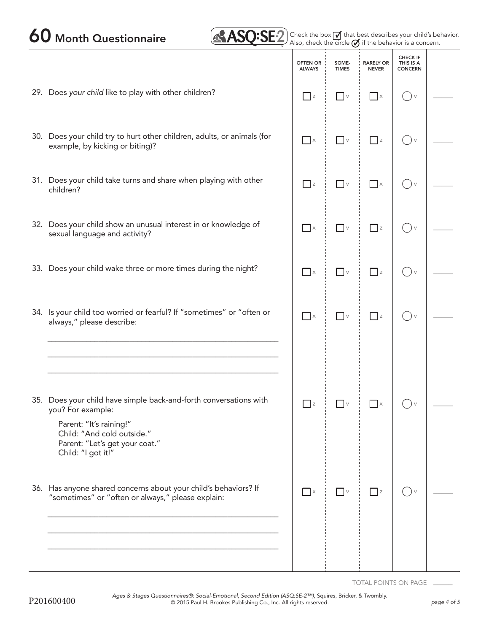60 Month Questionnaire **2 Check the box of that best describes your child's behavior.** 

|                                                                                                                                                                                                         | <b>OFTEN OR</b><br><b>ALWAYS</b> | SOME-<br><b>TIMES</b>                                                       | <b>RARELY OR</b><br><b>NEVER</b> | <b>CHECK IF</b><br>THIS IS A<br><b>CONCERN</b> |  |
|---------------------------------------------------------------------------------------------------------------------------------------------------------------------------------------------------------|----------------------------------|-----------------------------------------------------------------------------|----------------------------------|------------------------------------------------|--|
| 29. Does your child like to play with other children?                                                                                                                                                   | $\Box$ z                         | $\overline{\phantom{a}}$ v                                                  | $\vert \cdot \vert$ x            | $($ ) $\vee$                                   |  |
| 30. Does your child try to hurt other children, adults, or animals (for<br>example, by kicking or biting)?                                                                                              | $\Box$ $\times$                  | $\hfill\ensuremath{\mathsf{V}}$                                             | $\Box$ z                         | $\left( \quad \right)$ v                       |  |
| 31. Does your child take turns and share when playing with other<br>children?                                                                                                                           | $\Box$ z                         | $\hfill\ensuremath{\mathrel{\text{--}}}$ $\ensuremath{\mathrel{\text{--}}}$ | $\Box$ x                         | $\Box$                                         |  |
| 32. Does your child show an unusual interest in or knowledge of<br>sexual language and activity?                                                                                                        | $\Box$ x                         | $\hfill\ensuremath{\mathsf{V}}$                                             | $\Box$ z                         | $\rightarrow$ $\vee$                           |  |
| 33. Does your child wake three or more times during the night?                                                                                                                                          | $\Box$ $\times$                  | $\hfill\ensuremath{\mathsf{V}}$                                             | $\Box$ z                         | ()v                                            |  |
| 34. Is your child too worried or fearful? If "sometimes" or "often or<br>always," please describe:                                                                                                      | $\Box$ x                         | $\hfill\ensuremath{\mathsf{V}}$                                             | $\prod$ z                        | $($ ) $\vee$                                   |  |
|                                                                                                                                                                                                         |                                  |                                                                             |                                  |                                                |  |
| 35. Does your child have simple back-and-forth conversations with<br>you? For example:<br>Parent: "It's raining!"<br>Child: "And cold outside."<br>Parent: "Let's get your coat."<br>Child: "I got it!" | z                                | $\sqrt{}$                                                                   | $\boldsymbol{\mathsf{X}}$        |                                                |  |
| 36. Has anyone shared concerns about your child's behaviors? If<br>"sometimes" or "often or always," please explain:                                                                                    | $\Box$ $\times$                  | $\hfill\ensuremath{\mathsf{V}}$                                             | $\Box$ z                         |                                                |  |
|                                                                                                                                                                                                         |                                  |                                                                             |                                  |                                                |  |

TOTAL POINTS ON PAGE \_\_\_\_\_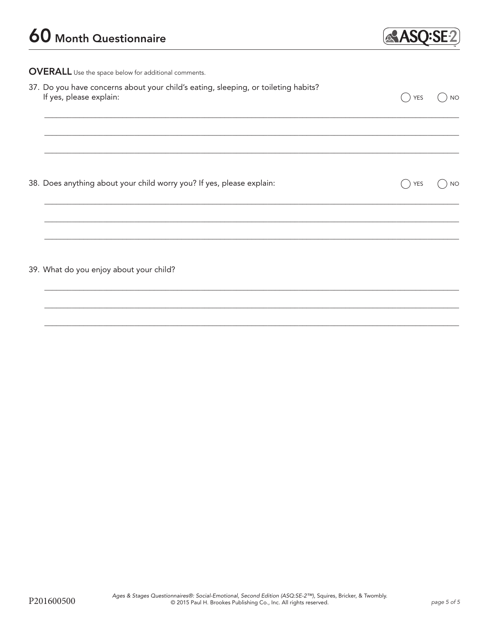

OVERALL Use the space below for additional comments.

| 37. Do you have concerns about your child's eating, sleeping, or toileting habits?<br>If yes, please explain: | <b>YES</b> | <b>NO</b> |
|---------------------------------------------------------------------------------------------------------------|------------|-----------|
|                                                                                                               |            |           |
| 38. Does anything about your child worry you? If yes, please explain:                                         | <b>YES</b> | <b>NO</b> |
|                                                                                                               |            |           |
| 39. What do you enjoy about your child?                                                                       |            |           |
|                                                                                                               |            |           |